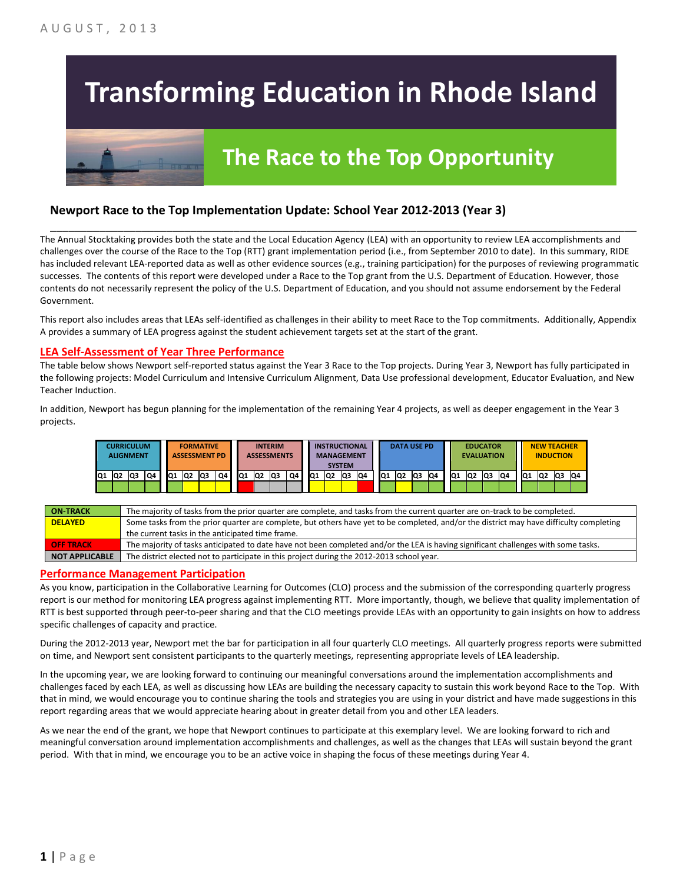# **Transforming Education in Rhode Island**

# **The Race to the Top Opportunity**

### **Newport Race to the Top Implementation Update: School Year 2012-2013 (Year 3)**

The Annual Stocktaking provides both the state and the Local Education Agency (LEA) with an opportunity to review LEA accomplishments and challenges over the course of the Race to the Top (RTT) grant implementation period (i.e., from September 2010 to date). In this summary, RIDE has included relevant LEA-reported data as well as other evidence sources (e.g., training participation) for the purposes of reviewing programmatic successes. The contents of this report were developed under a Race to the Top grant from the U.S. Department of Education. However, those contents do not necessarily represent the policy of the U.S. Department of Education, and you should not assume endorsement by the Federal Government.

\_\_\_\_\_\_\_\_\_\_\_\_\_\_\_\_\_\_\_\_\_\_\_\_\_\_\_\_\_\_\_\_\_\_\_\_\_\_\_\_\_\_\_\_\_\_\_\_\_\_\_\_\_\_\_\_\_\_\_\_\_\_\_\_\_\_\_\_\_\_\_\_\_\_\_\_\_\_\_\_\_\_\_\_\_\_\_\_\_\_\_\_\_\_\_\_

This report also includes areas that LEAs self-identified as challenges in their ability to meet Race to the Top commitments. Additionally, Appendix A provides a summary of LEA progress against the student achievement targets set at the start of the grant.

#### **LEA Self-Assessment of Year Three Performance**

The table below shows Newport self-reported status against the Year 3 Race to the Top projects. During Year 3, Newport has fully participated in the following projects: Model Curriculum and Intensive Curriculum Alignment, Data Use professional development, Educator Evaluation, and New Teacher Induction.

In addition, Newport has begun planning for the implementation of the remaining Year 4 projects, as well as deeper engagement in the Year 3 projects.



| <b>ON TRACK</b>       | The majority of tasks from the prior quarter are complete, and tasks from the current quarter are on-track to be completed.             |
|-----------------------|-----------------------------------------------------------------------------------------------------------------------------------------|
| <b>DELAYED</b>        | Some tasks from the prior quarter are complete, but others have yet to be completed, and/or the district may have difficulty completing |
|                       | the current tasks in the anticipated time frame.                                                                                        |
| <b>OFF TRACK</b>      | The majority of tasks anticipated to date have not been completed and/or the LEA is having significant challenges with some tasks.      |
| <b>NOT APPLICABLE</b> | The district elected not to participate in this project during the 2012-2013 school year.                                               |

#### **Performance Management Participation**

As you know, participation in the Collaborative Learning for Outcomes (CLO) process and the submission of the corresponding quarterly progress report is our method for monitoring LEA progress against implementing RTT. More importantly, though, we believe that quality implementation of RTT is best supported through peer-to-peer sharing and that the CLO meetings provide LEAs with an opportunity to gain insights on how to address specific challenges of capacity and practice.

During the 2012-2013 year, Newport met the bar for participation in all four quarterly CLO meetings. All quarterly progress reports were submitted on time, and Newport sent consistent participants to the quarterly meetings, representing appropriate levels of LEA leadership.

In the upcoming year, we are looking forward to continuing our meaningful conversations around the implementation accomplishments and challenges faced by each LEA, as well as discussing how LEAs are building the necessary capacity to sustain this work beyond Race to the Top. With that in mind, we would encourage you to continue sharing the tools and strategies you are using in your district and have made suggestions in this report regarding areas that we would appreciate hearing about in greater detail from you and other LEA leaders.

As we near the end of the grant, we hope that Newport continues to participate at this exemplary level. We are looking forward to rich and meaningful conversation around implementation accomplishments and challenges, as well as the changes that LEAs will sustain beyond the grant period. With that in mind, we encourage you to be an active voice in shaping the focus of these meetings during Year 4.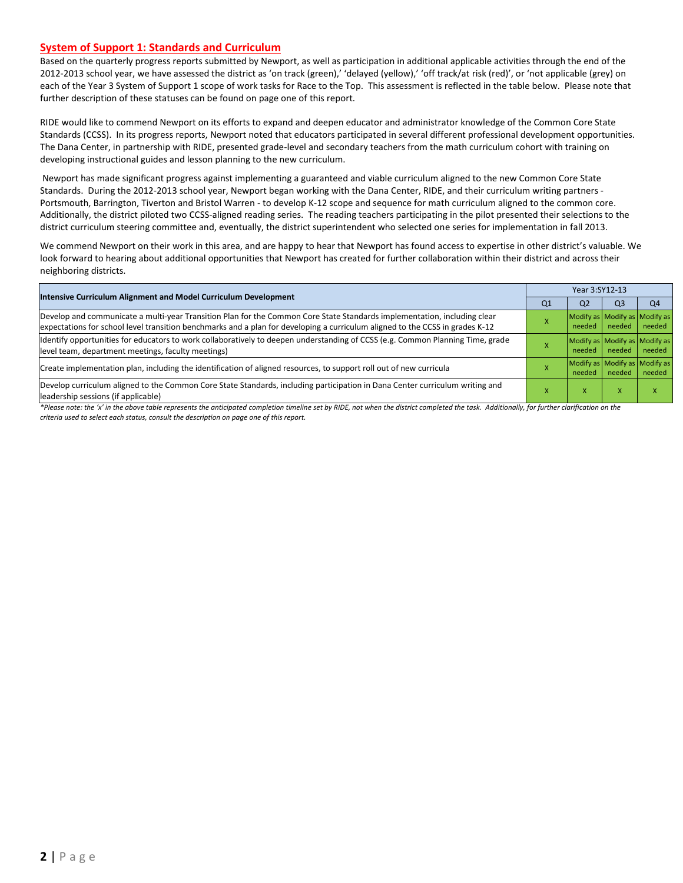#### **System of Support 1: Standards and Curriculum**

Based on the quarterly progress reports submitted by Newport, as well as participation in additional applicable activities through the end of the 2012-2013 school year, we have assessed the district as 'on track (green),' 'delayed (yellow),' 'off track/at risk (red)', or 'not applicable (grey) on each of the Year 3 System of Support 1 scope of work tasks for Race to the Top. This assessment is reflected in the table below. Please note that further description of these statuses can be found on page one of this report.

RIDE would like to commend Newport on its efforts to expand and deepen educator and administrator knowledge of the Common Core State Standards (CCSS). In its progress reports, Newport noted that educators participated in several different professional development opportunities. The Dana Center, in partnership with RIDE, presented grade-level and secondary teachers from the math curriculum cohort with training on developing instructional guides and lesson planning to the new curriculum.

Newport has made significant progress against implementing a guaranteed and viable curriculum aligned to the new Common Core State Standards. During the 2012-2013 school year, Newport began working with the Dana Center, RIDE, and their curriculum writing partners - Portsmouth, Barrington, Tiverton and Bristol Warren - to develop K-12 scope and sequence for math curriculum aligned to the common core. Additionally, the district piloted two CCSS-aligned reading series. The reading teachers participating in the pilot presented their selections to the district curriculum steering committee and, eventually, the district superintendent who selected one series for implementation in fall 2013.

We commend Newport on their work in this area, and are happy to hear that Newport has found access to expertise in other district's valuable. We look forward to hearing about additional opportunities that Newport has created for further collaboration within their district and across their neighboring districts.

| Intensive Curriculum Alignment and Model Curriculum Development                                                                                                                                                                                           |    | Year 3:SY12-13                          |                                         |                |  |  |  |
|-----------------------------------------------------------------------------------------------------------------------------------------------------------------------------------------------------------------------------------------------------------|----|-----------------------------------------|-----------------------------------------|----------------|--|--|--|
|                                                                                                                                                                                                                                                           | Q1 | Q <sub>2</sub>                          | Q <sub>3</sub>                          | Q <sub>4</sub> |  |  |  |
| Develop and communicate a multi-year Transition Plan for the Common Core State Standards implementation, including clear<br>expectations for school level transition benchmarks and a plan for developing a curriculum aligned to the CCSS in grades K-12 |    | Modify as Modify as Modify as<br>needed | needed                                  | needed         |  |  |  |
| Identify opportunities for educators to work collaboratively to deepen understanding of CCSS (e.g. Common Planning Time, grade<br>level team, department meetings, faculty meetings)                                                                      |    | needed                                  | Modify as Modify as Modify as<br>needed | needed         |  |  |  |
| Create implementation plan, including the identification of aligned resources, to support roll out of new curricula                                                                                                                                       |    | needed                                  | Modify as Modify as Modify as<br>needed | needed         |  |  |  |
| Develop curriculum aligned to the Common Core State Standards, including participation in Dana Center curriculum writing and<br>leadership sessions (if applicable)                                                                                       |    | x                                       | $\boldsymbol{\mathsf{x}}$               |                |  |  |  |

*\*Please note: the 'x' in the above table represents the anticipated completion timeline set by RIDE, not when the district completed the task. Additionally, for further clarification on the criteria used to select each status, consult the description on page one of this report.*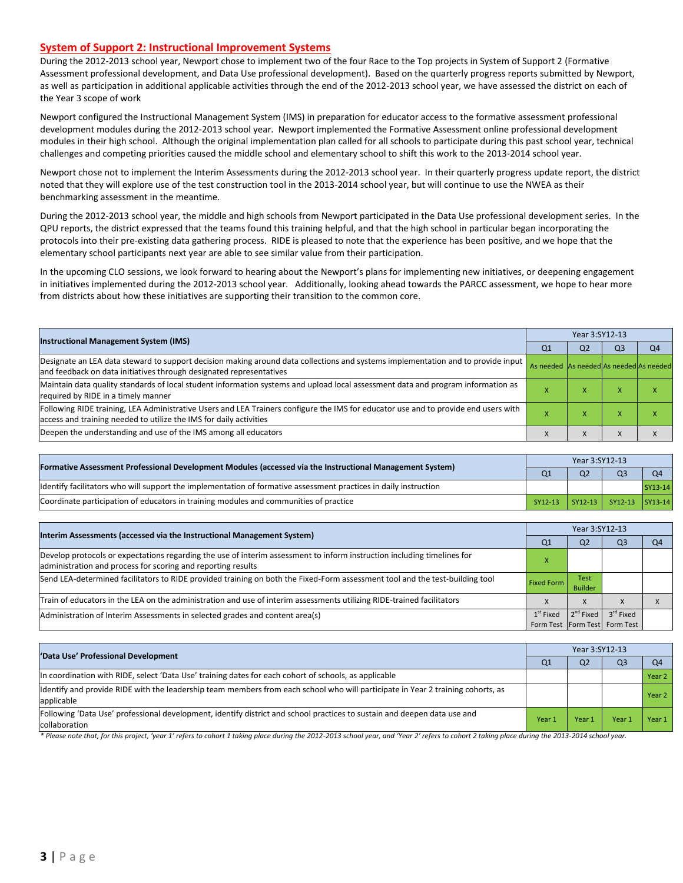#### **System of Support 2: Instructional Improvement Systems**

During the 2012-2013 school year, Newport chose to implement two of the four Race to the Top projects in System of Support 2 (Formative Assessment professional development, and Data Use professional development). Based on the quarterly progress reports submitted by Newport, as well as participation in additional applicable activities through the end of the 2012-2013 school year, we have assessed the district on each of the Year 3 scope of work

Newport configured the Instructional Management System (IMS) in preparation for educator access to the formative assessment professional development modules during the 2012-2013 school year. Newport implemented the Formative Assessment online professional development modules in their high school. Although the original implementation plan called for all schools to participate during this past school year, technical challenges and competing priorities caused the middle school and elementary school to shift this work to the 2013-2014 school year.

Newport chose not to implement the Interim Assessments during the 2012-2013 school year. In their quarterly progress update report, the district noted that they will explore use of the test construction tool in the 2013-2014 school year, but will continue to use the NWEA as their benchmarking assessment in the meantime.

During the 2012-2013 school year, the middle and high schools from Newport participated in the Data Use professional development series. In the QPU reports, the district expressed that the teams found this training helpful, and that the high school in particular began incorporating the protocols into their pre-existing data gathering process. RIDE is pleased to note that the experience has been positive, and we hope that the elementary school participants next year are able to see similar value from their participation.

In the upcoming CLO sessions, we look forward to hearing about the Newport's plans for implementing new initiatives, or deepening engagement in initiatives implemented during the 2012-2013 school year. Additionally, looking ahead towards the PARCC assessment, we hope to hear more from districts about how these initiatives are supporting their transition to the common core.

|                                                                                                                                                                                                           |                                         | Year 3:SY12-13 |                |                |  |  |  |
|-----------------------------------------------------------------------------------------------------------------------------------------------------------------------------------------------------------|-----------------------------------------|----------------|----------------|----------------|--|--|--|
| <b>Instructional Management System (IMS)</b>                                                                                                                                                              | Q <sub>1</sub>                          | Q <sub>2</sub> | Q <sub>3</sub> | Q <sub>4</sub> |  |  |  |
| Designate an LEA data steward to support decision making around data collections and systems implementation and to provide input<br>and feedback on data initiatives through designated representatives   | As needed As needed As needed As needed |                |                |                |  |  |  |
| Maintain data quality standards of local student information systems and upload local assessment data and program information as<br>required by RIDE in a timely manner                                   |                                         | ж              |                |                |  |  |  |
| Following RIDE training, LEA Administrative Users and LEA Trainers configure the IMS for educator use and to provide end users with<br>access and training needed to utilize the IMS for daily activities |                                         | ж              |                |                |  |  |  |
| Deepen the understanding and use of the IMS among all educators                                                                                                                                           |                                         | X              |                |                |  |  |  |

|                                                                                                                  |         | Year 3:SY12-13 |                         |         |  |  |
|------------------------------------------------------------------------------------------------------------------|---------|----------------|-------------------------|---------|--|--|
| [Formative Assessment Professional Development Modules (accessed via the Instructional Management System)        |         | Q <sub>2</sub> |                         | O4      |  |  |
| ldentify facilitators who will support the implementation of formative assessment practices in daily instruction |         |                |                         | SY13-14 |  |  |
| Coordinate participation of educators in training modules and communities of practice                            | SY12-13 |                | SY12-13 SY12-13 SY13-14 |         |  |  |

| Interim Assessments (accessed via the Instructional Management System)                                                                                                                  |                   | Year 3:SY12-13                |                                                            |    |  |  |
|-----------------------------------------------------------------------------------------------------------------------------------------------------------------------------------------|-------------------|-------------------------------|------------------------------------------------------------|----|--|--|
|                                                                                                                                                                                         | Q <sub>1</sub>    | Q <sub>2</sub>                | Q <sub>3</sub>                                             | Q4 |  |  |
| Develop protocols or expectations regarding the use of interim assessment to inform instruction including timelines for<br>administration and process for scoring and reporting results |                   |                               |                                                            |    |  |  |
| Send LEA-determined facilitators to RIDE provided training on both the Fixed-Form assessment tool and the test-building tool                                                            | <b>Fixed Form</b> | <b>Test</b><br><b>Builder</b> |                                                            |    |  |  |
| Train of educators in the LEA on the administration and use of interim assessments utilizing RIDE-trained facilitators                                                                  |                   | X                             | $\lambda$                                                  |    |  |  |
| Administration of Interim Assessments in selected grades and content area(s)                                                                                                            | $1st$ Fixed       | $2^{nd}$ Fixed                | 3 <sup>rd</sup> Fixed<br>Form Test   Form Test   Form Test |    |  |  |

| 'Data Use' Professional Development                                                                                                           |        | Year 3:SY12-13 |                |                   |  |  |
|-----------------------------------------------------------------------------------------------------------------------------------------------|--------|----------------|----------------|-------------------|--|--|
|                                                                                                                                               |        | Q <sub>2</sub> | Q <sub>3</sub> | Q4                |  |  |
| In coordination with RIDE, select 'Data Use' training dates for each cohort of schools, as applicable                                         |        |                |                | Year <sub>2</sub> |  |  |
| ldentify and provide RIDE with the leadership team members from each school who will participate in Year 2 training cohorts, as<br>applicable |        |                |                | Year <sub>2</sub> |  |  |
| [Following 'Data Use' professional development, identify district and school practices to sustain and deepen data use and<br>collaboration    | Year 1 | Year 1         | Year           | Year 1            |  |  |

\* Please note that, for this project, 'year 1' refers to cohort 1 taking place during the 2012-2013 school year, and 'Year 2' refers to cohort 2 taking place during the 2013-2014 school year.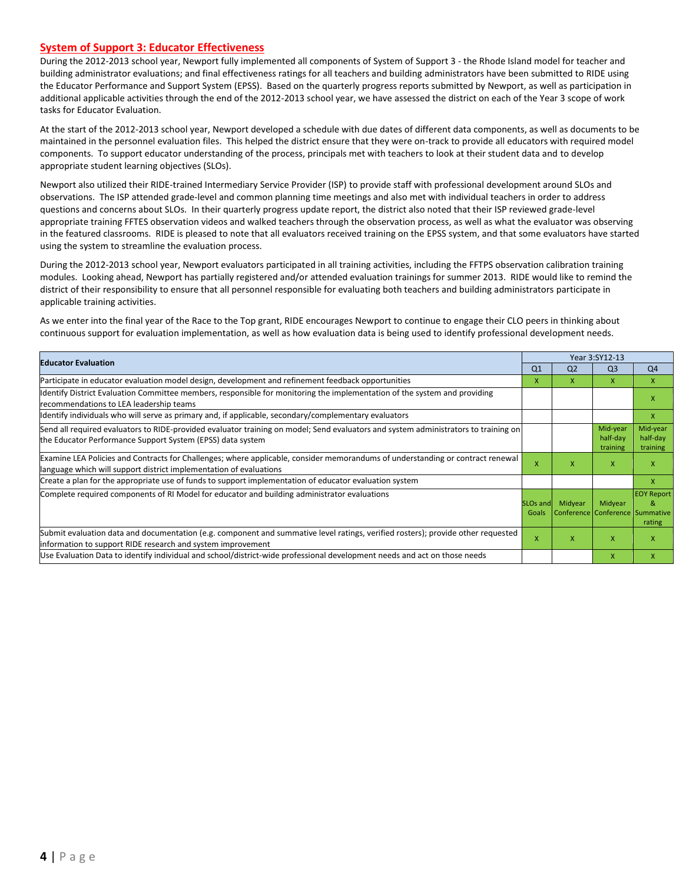#### **System of Support 3: Educator Effectiveness**

During the 2012-2013 school year, Newport fully implemented all components of System of Support 3 - the Rhode Island model for teacher and building administrator evaluations; and final effectiveness ratings for all teachers and building administrators have been submitted to RIDE using the Educator Performance and Support System (EPSS). Based on the quarterly progress reports submitted by Newport, as well as participation in additional applicable activities through the end of the 2012-2013 school year, we have assessed the district on each of the Year 3 scope of work tasks for Educator Evaluation.

At the start of the 2012-2013 school year, Newport developed a schedule with due dates of different data components, as well as documents to be maintained in the personnel evaluation files. This helped the district ensure that they were on-track to provide all educators with required model components. To support educator understanding of the process, principals met with teachers to look at their student data and to develop appropriate student learning objectives (SLOs).

Newport also utilized their RIDE-trained Intermediary Service Provider (ISP) to provide staff with professional development around SLOs and observations. The ISP attended grade-level and common planning time meetings and also met with individual teachers in order to address questions and concerns about SLOs. In their quarterly progress update report, the district also noted that their ISP reviewed grade-level appropriate training FFTES observation videos and walked teachers through the observation process, as well as what the evaluator was observing in the featured classrooms. RIDE is pleased to note that all evaluators received training on the EPSS system, and that some evaluators have started using the system to streamline the evaluation process.

During the 2012-2013 school year, Newport evaluators participated in all training activities, including the FFTPS observation calibration training modules. Looking ahead, Newport has partially registered and/or attended evaluation trainings for summer 2013. RIDE would like to remind the district of their responsibility to ensure that all personnel responsible for evaluating both teachers and building administrators participate in applicable training activities.

As we enter into the final year of the Race to the Top grant, RIDE encourages Newport to continue to engage their CLO peers in thinking about continuous support for evaluation implementation, as well as how evaluation data is being used to identify professional development needs.

| <b>Educator Evaluation</b>                                                                                                                                                                           |                   |                | Year 3:SY12-13                             |                                  |
|------------------------------------------------------------------------------------------------------------------------------------------------------------------------------------------------------|-------------------|----------------|--------------------------------------------|----------------------------------|
|                                                                                                                                                                                                      | Q <sub>1</sub>    | Q <sub>2</sub> | Q <sub>3</sub>                             | Q <sub>4</sub>                   |
| Participate in educator evaluation model design, development and refinement feedback opportunities                                                                                                   | x                 | X.             | X                                          | $\mathsf{x}$                     |
| Identify District Evaluation Committee members, responsible for monitoring the implementation of the system and providing<br>recommendations to LEA leadership teams                                 |                   |                |                                            | X                                |
| ldentify individuals who will serve as primary and, if applicable, secondary/complementary evaluators                                                                                                |                   |                |                                            | $\mathsf{x}$                     |
| Send all required evaluators to RIDE-provided evaluator training on model; Send evaluators and system administrators to training on<br>the Educator Performance Support System (EPSS) data system    |                   |                | Mid-year<br>half-day<br>training           | Mid-year<br>half-day<br>training |
| Examine LEA Policies and Contracts for Challenges; where applicable, consider memorandums of understanding or contract renewal<br>language which will support district implementation of evaluations |                   | x              | $\mathsf{x}$                               | X                                |
| Create a plan for the appropriate use of funds to support implementation of educator evaluation system                                                                                               |                   |                |                                            | X                                |
| Complete required components of RI Model for educator and building administrator evaluations                                                                                                         | SLOs and<br>Goals | Midyear        | Midyear<br>Conference Conference Summative | <b>EOY Report</b><br>&<br>rating |
| Submit evaluation data and documentation (e.g. component and summative level ratings, verified rosters); provide other requested<br>information to support RIDE research and system improvement      | x                 | x              | X                                          | X                                |
| Use Evaluation Data to identify individual and school/district-wide professional development needs and act on those needs                                                                            |                   |                | X                                          | X                                |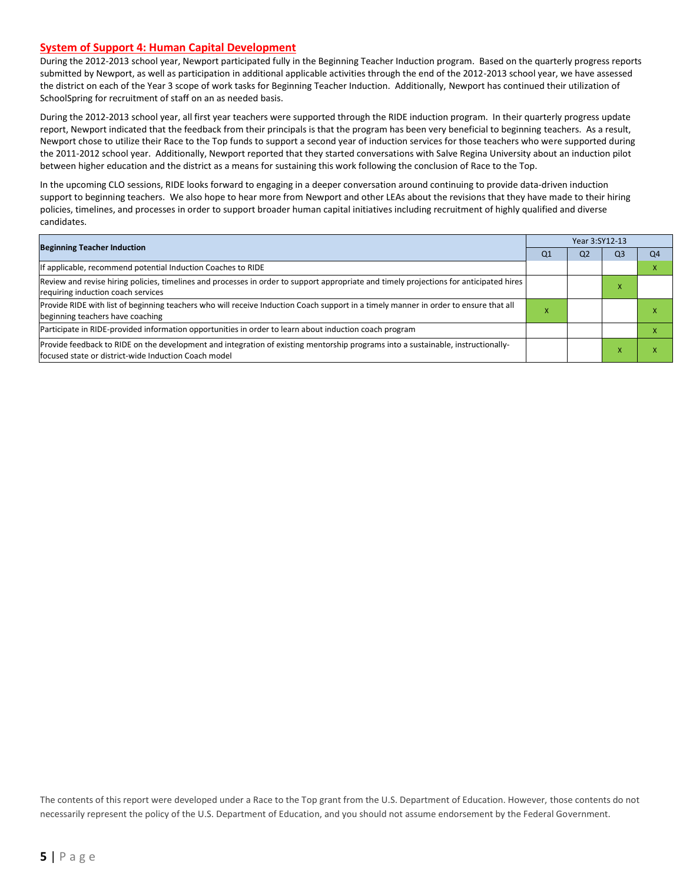#### **System of Support 4: Human Capital Development**

During the 2012-2013 school year, Newport participated fully in the Beginning Teacher Induction program. Based on the quarterly progress reports submitted by Newport, as well as participation in additional applicable activities through the end of the 2012-2013 school year, we have assessed the district on each of the Year 3 scope of work tasks for Beginning Teacher Induction. Additionally, Newport has continued their utilization of SchoolSpring for recruitment of staff on an as needed basis.

During the 2012-2013 school year, all first year teachers were supported through the RIDE induction program. In their quarterly progress update report, Newport indicated that the feedback from their principals is that the program has been very beneficial to beginning teachers. As a result, Newport chose to utilize their Race to the Top funds to support a second year of induction services for those teachers who were supported during the 2011-2012 school year. Additionally, Newport reported that they started conversations with Salve Regina University about an induction pilot between higher education and the district as a means for sustaining this work following the conclusion of Race to the Top.

In the upcoming CLO sessions, RIDE looks forward to engaging in a deeper conversation around continuing to provide data-driven induction support to beginning teachers. We also hope to hear more from Newport and other LEAs about the revisions that they have made to their hiring policies, timelines, and processes in order to support broader human capital initiatives including recruitment of highly qualified and diverse candidates.

|                                                                                                                                                                                          |    | Year 3:SY12-13 |    |    |  |  |
|------------------------------------------------------------------------------------------------------------------------------------------------------------------------------------------|----|----------------|----|----|--|--|
| <b>Beginning Teacher Induction</b>                                                                                                                                                       | Q1 | Q <sub>2</sub> | Q3 | Q4 |  |  |
| If applicable, recommend potential Induction Coaches to RIDE                                                                                                                             |    |                |    |    |  |  |
| Review and revise hiring policies, timelines and processes in order to support appropriate and timely projections for anticipated hires<br>requiring induction coach services            |    |                |    |    |  |  |
| Provide RIDE with list of beginning teachers who will receive Induction Coach support in a timely manner in order to ensure that all<br>beginning teachers have coaching                 | x  |                |    |    |  |  |
| Participate in RIDE-provided information opportunities in order to learn about induction coach program                                                                                   |    |                |    |    |  |  |
| Provide feedback to RIDE on the development and integration of existing mentorship programs into a sustainable, instructionally-<br>focused state or district-wide Induction Coach model |    |                |    |    |  |  |

The contents of this report were developed under a Race to the Top grant from the U.S. Department of Education. However, those contents do not necessarily represent the policy of the U.S. Department of Education, and you should not assume endorsement by the Federal Government.